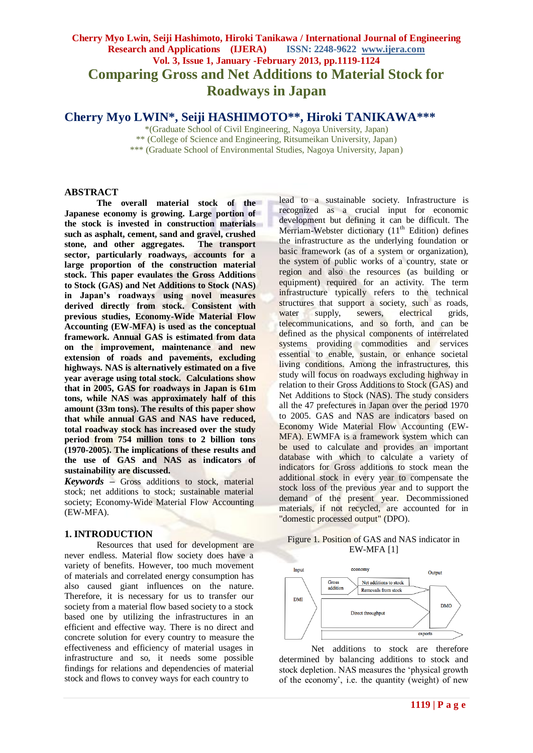# **Cherry Myo Lwin, Seiji Hashimoto, Hiroki Tanikawa / International Journal of Engineering Research and Applications (IJERA) ISSN: 2248-9622 www.ijera.com Vol. 3, Issue 1, January -February 2013, pp.1119-1124 Comparing Gross and Net Additions to Material Stock for Roadways in Japan**

**Cherry Myo LWIN\*, Seiji HASHIMOTO\*\*, Hiroki TANIKAWA\*\*\***

\*(Graduate School of Civil Engineering, Nagoya University, Japan) \*\* (College of Science and Engineering, Ritsumeikan University, Japan) \*\*\* (Graduate School of Environmental Studies, Nagoya University, Japan)

#### **ABSTRACT**

**The overall material stock of the Japanese economy is growing. Large portion of the stock is invested in construction materials such as asphalt, cement, sand and gravel, crushed stone, and other aggregates. The transport sector, particularly roadways, accounts for a large proportion of the construction material stock. This paper evaulates the Gross Additions to Stock (GAS) and Net Additions to Stock (NAS) in Japan's roadways using novel measures derived directly from stock. Consistent with previous studies, Economy-Wide Material Flow Accounting (EW-MFA) is used as the conceptual framework. Annual GAS is estimated from data on the improvement, maintenance and new extension of roads and pavements, excluding highways. NAS is alternatively estimated on a five year average using total stock. Calculations show that in 2005, GAS for roadways in Japan is 61m tons, while NAS was approximately half of this amount (33m tons). The results of this paper show that while annual GAS and NAS have reduced, total roadway stock has increased over the study period from 754 million tons to 2 billion tons (1970-2005). The implications of these results and the use of GAS and NAS as indicators of sustainability are discussed.**

*Keywords* **–** Gross additions to stock, material stock; net additions to stock; sustainable material society; Economy-Wide Material Flow Accounting (EW-MFA).

#### **1. INTRODUCTION**

Resources that used for development are never endless. Material flow society does have a variety of benefits. However, too much movement of materials and correlated energy consumption has also caused giant influences on the nature. Therefore, it is necessary for us to transfer our society from a material flow based society to a stock based one by utilizing the infrastructures in an efficient and effective way. There is no direct and concrete solution for every country to measure the effectiveness and efficiency of material usages in infrastructure and so, it needs some possible findings for relations and dependencies of material stock and flows to convey ways for each country to

lead to a sustainable society. Infrastructure is recognized as a crucial input for economic development but defining it can be difficult. The Merriam-Webster dictionary  $(11<sup>th</sup>$  Edition) defines the infrastructure as the underlying foundation or basic framework (as of a system or organization), the system of public works of a country, state or region and also the resources (as building or equipment) required for an activity. The term infrastructure typically refers to the technical structures that support a society, such as roads, water supply, sewers, electrical grids, telecommunications, and so forth, and can be defined as the physical components of interrelated systems providing commodities and services essential to enable, sustain, or enhance societal living conditions. Among the infrastructures, this study will focus on roadways excluding highway in relation to their Gross Additions to Stock (GAS) and Net Additions to Stock (NAS). The study considers all the 47 prefectures in Japan over the period 1970 to 2005. GAS and NAS are indicators based on Economy Wide Material Flow Accounting (EW-MFA). EWMFA is a framework system which can be used to calculate and provides an important database with which to calculate a variety of indicators for Gross additions to stock mean the additional stock in every year to compensate the stock loss of the previous year and to support the demand of the present year. Decommissioned materials, if not recycled, are accounted for in "domestic processed output" (DPO).

#### Figure 1. Position of GAS and NAS indicator in EW-MFA [1]



Net additions to stock are therefore determined by balancing additions to stock and stock depletion. NAS measures the 'physical growth of the economy', i.e. the quantity (weight) of new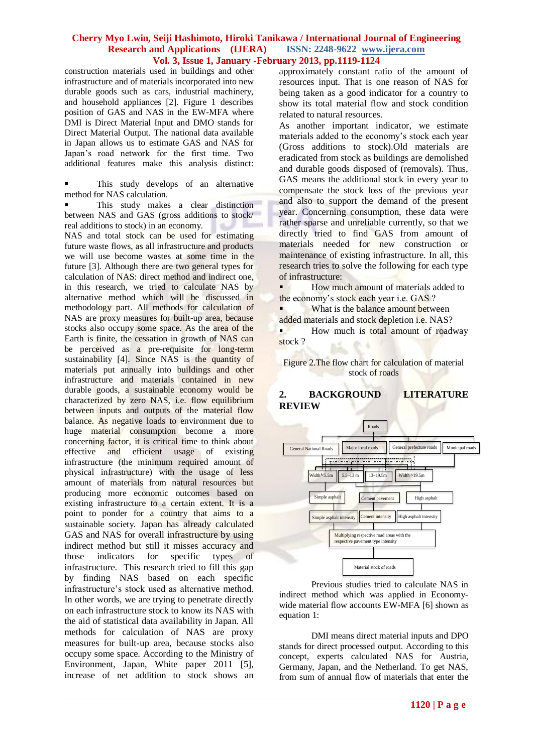construction materials used in buildings and other infrastructure and of materials incorporated into new durable goods such as cars, industrial machinery, and household appliances [2]. Figure 1 describes position of GAS and NAS in the EW-MFA where DMI is Direct Material Input and DMO stands for Direct Material Output. The national data available in Japan allows us to estimate GAS and NAS for Japan's road network for the first time. Two additional features make this analysis distinct:

 This study develops of an alternative method for NAS calculation.

 This study makes a clear distinction between NAS and GAS (gross additions to stock/ real additions to stock) in an economy.

NAS and total stock can be used for estimating future waste flows, as all infrastructure and products we will use become wastes at some time in the future [3]. Although there are two general types for calculation of NAS: direct method and indirect one, in this research, we tried to calculate NAS by alternative method which will be discussed in methodology part. All methods for calculation of NAS are proxy measures for built-up area, because stocks also occupy some space. As the area of the Earth is finite, the cessation in growth of NAS can be perceived as a pre-requisite for long-term sustainability [4]. Since NAS is the quantity of materials put annually into buildings and other infrastructure and materials contained in new durable goods, a sustainable economy would be characterized by zero NAS, i.e. flow equilibrium between inputs and outputs of the material flow balance. As negative loads to environment due to huge material consumption become a more concerning factor, it is critical time to think about effective and efficient usage of existing infrastructure (the minimum required amount of physical infrastructure) with the usage of less amount of materials from natural resources but producing more economic outcomes based on existing infrastructure to a certain extent. It is a point to ponder for a country that aims to a sustainable society. Japan has already calculated GAS and NAS for overall infrastructure by using indirect method but still it misses accuracy and those indicators for specific types of infrastructure. This research tried to fill this gap by finding NAS based on each specific infrastructure's stock used as alternative method. In other words, we are trying to penetrate directly on each infrastructure stock to know its NAS with the aid of statistical data availability in Japan. All methods for calculation of NAS are proxy measures for built-up area, because stocks also occupy some space. According to the Ministry of Environment, Japan, White paper 2011 [5], increase of net addition to stock shows an

approximately constant ratio of the amount of resources input. That is one reason of NAS for being taken as a good indicator for a country to show its total material flow and stock condition related to natural resources.

As another important indicator, we estimate materials added to the economy's stock each year (Gross additions to stock).Old materials are eradicated from stock as buildings are demolished and durable goods disposed of (removals). Thus, GAS means the additional stock in every year to compensate the stock loss of the previous year and also to support the demand of the present year. Concerning consumption, these data were rather sparse and unreliable currently, so that we directly tried to find GAS from amount of materials needed for new construction or maintenance of existing infrastructure. In all, this research tries to solve the following for each type of infrastructure:

**How much amount of materials added to** the economy's stock each year i.e. GAS ?

What is the balance amount between added materials and stock depletion i.e. NAS?

How much is total amount of roadway stock ?

Figure 2.The flow chart for calculation of material stock of roads

## **2. BACKGROUND LITERATURE REVIEW**



Previous studies tried to calculate NAS in indirect method which was applied in Economywide material flow accounts EW-MFA [6] shown as equation 1:

DMI means direct material inputs and DPO stands for direct processed output. According to this concept, experts calculated NAS for Austria, Germany, Japan, and the Netherland. To get NAS, from sum of annual flow of materials that enter the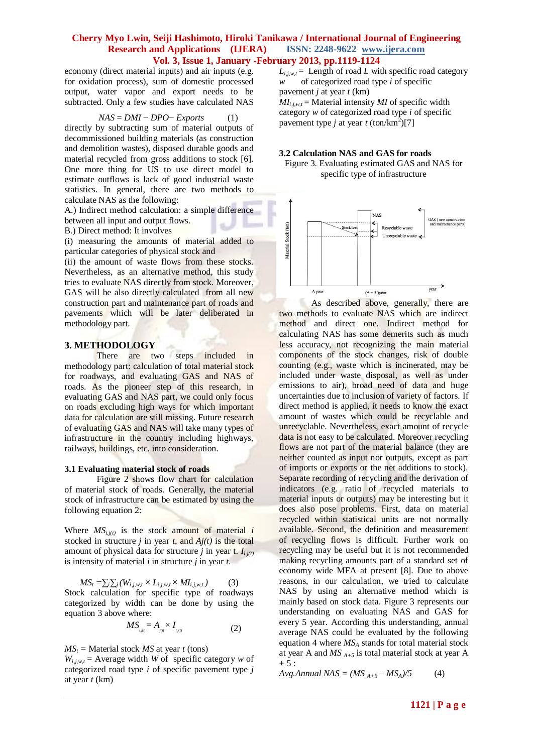economy (direct material inputs) and air inputs (e.g. for oxidation process), sum of domestic processed output, water vapor and export needs to be subtracted. Only a few studies have calculated NAS

$$
NAS = DMI - DPO - Exports \tag{1}
$$

directly by subtracting sum of material outputs of decommissioned building materials (as construction and demolition wastes), disposed durable goods and material recycled from gross additions to stock [6]. One more thing for US to use direct model to estimate outflows is lack of good industrial waste statistics. In general, there are two methods to calculate NAS as the following:

A.) Indirect method calculation: a simple difference between all input and output flows.

B.) Direct method: It involves

(i) measuring the amounts of material added to particular categories of physical stock and

(ii) the amount of waste flows from these stocks. Nevertheless, as an alternative method, this study tries to evaluate NAS directly from stock. Moreover, GAS will be also directly calculated from all new construction part and maintenance part of roads and pavements which will be later deliberated in methodology part.

#### **3. METHODOLOGY**

There are two steps included in methodology part: calculation of total material stock for roadways, and evaluating GAS and NAS of roads. As the pioneer step of this research, in evaluating GAS and NAS part, we could only focus on roads excluding high ways for which important data for calculation are still missing. Future research of evaluating GAS and NAS will take many types of infrastructure in the country including highways, railways, buildings, etc. into consideration.

#### **3.1 Evaluating material stock of roads**

Figure 2 shows flow chart for calculation of material stock of roads. Generally, the material stock of infrastructure can be estimated by using the following equation 2:

Where  $MS_{i,j(t)}$  is the stock amount of material *i* stocked in structure *j* in year *t*, and  $Aj(t)$  is the total amount of physical data for structure *j* in year t.  $I_{i,j(t)}$ is intensity of material *i* in structure *j* in year *t*.

 $MS_t = \sum_i \sum_j (W_{i,j,w,t} \times L_{i,j,w,t} \times MI_{i,j,w,t})$  (3) Stock calculation for specific type of roadways categorized by width can be done by using the equation 3 above where:

$$
MS_{\scriptscriptstyle i,j(0)} = A_{\scriptscriptstyle j(0)} \times I_{\scriptscriptstyle i,j(1)} \tag{2}
$$

 $MS<sub>t</sub>$  = Material stock *MS* at year *t* (tons)

 $W_{i,j,w,t}$  = Average width *W* of specific category *w* of categorized road type *i* of specific pavement type *j* at year *t* (km)

 $L_{i,i,w,t}$  = Length of road *L* with specific road category *w* of categorized road type *i* of specific pavement *j* at year *t* (km)  $MI_{i,iwt}$  = Material intensity *MI* of specific width category *w* of categorized road type *i* of specific

pavement type *j* at year  $t$  (ton/km<sup>2</sup>)[7]

## **3.2 Calculation NAS and GAS for roads**

Figure 3. Evaluating estimated GAS and NAS for specific type of infrastructure



As described above, generally, there are two methods to evaluate NAS which are indirect method and direct one. Indirect method for calculating NAS has some demerits such as much less accuracy, not recognizing the main material components of the stock changes, risk of double counting (e.g., waste which is incinerated, may be included under waste disposal, as well as under emissions to air), broad need of data and huge uncertainties due to inclusion of variety of factors. If direct method is applied, it needs to know the exact amount of wastes which could be recyclable and unrecyclable. Nevertheless, exact amount of recycle data is not easy to be calculated. Moreover recycling flows are not part of the material balance (they are neither counted as input nor outputs, except as part of imports or exports or the net additions to stock). Separate recording of recycling and the derivation of indicators (e.g. ratio of recycled materials to material inputs or outputs) may be interesting but it does also pose problems. First, data on material recycled within statistical units are not normally available. Second, the definition and measurement of recycling flows is difficult. Further work on recycling may be useful but it is not recommended making recycling amounts part of a standard set of economy wide MFA at present [8]. Due to above reasons, in our calculation, we tried to calculate NAS by using an alternative method which is mainly based on stock data. Figure 3 represents our understanding on evaluating NAS and GAS for every 5 year. According this understanding, annual average NAS could be evaluated by the following equation 4 where *MS<sup>A</sup>* stands for total material stock at year A and *MS A+5* is total material stock at year A  $+ 5:$ 

*Avg.Annual NAS* =  $(MS_{A+5} - MS_A)/5$  (4)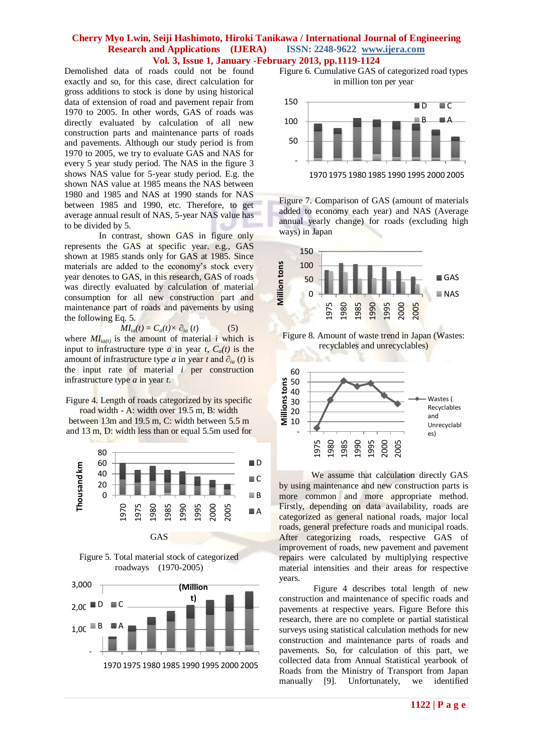Demolished data of roads could not be found exactly and so, for this case, direct calculation for gross additions to stock is done by using historical data of extension of road and pavement repair from 1970 to 2005. In other words, GAS of roads was directly evaluated by calculation of all new construction parts and maintenance parts of roads and pavements. Although our study period is from 1970 to 2005, we try to evaluate GAS and NAS for every 5 year study period. The NAS in the figure 3 shows NAS value for 5-year study period. E.g. the shown NAS value at 1985 means the NAS between 1980 and 1985 and NAS at 1990 stands for NAS between 1985 and 1990, etc. Therefore, to get average annual result of NAS, 5-year NAS value has to be divided by 5.

In contrast, shown GAS in figure only represents the GAS at specific year. e.g., GAS shown at 1985 stands only for GAS at 1985. Since materials are added to the economy's stock every year denotes to GAS, in this research, GAS of roads was directly evaluated by calculation of material consumption for all new construction part and maintenance part of roads and pavements by using the following Eq. 5.

$$
MI_{ia}(t) = C_a(t) \times \partial_{ia}(t) \tag{5}
$$

where  $MI_{i\alpha(t)}$  is the amount of material *i* which is input to infrastructure type *a* in year *t*,  $C_a(t)$  is the amount of infrastructure type *a* in year *t* and  $\partial_{ia}(t)$  is the input rate of material *i* per construction infrastructure type *a* in year *t*.

Figure 4. Length of roads categorized by its specific road width - A: width over 19.5 m, B: width between 13m and 19.5 m, C: width between 5.5 m and 13 m, D: width less than or equal 5.5m used for







Figure 6. Cumulative GAS of categorized road types in million ton per year



Figure 7. Comparison of GAS (amount of materials added to economy each year) and NAS (Average annual yearly change) for roads (excluding high ways) in Japan



Figure 8. Amount of waste trend in Japan (Wastes: recyclables and unrecyclables)



We assume that calculation directly GAS by using maintenance and new construction parts is more common and more appropriate method. Firstly, depending on data availability, roads are categorized as general national roads, major local roads, general prefecture roads and municipal roads. After categorizing roads, respective GAS of improvement of roads, new pavement and pavement repairs were calculated by multiplying respective material intensities and their areas for respective years.

Figure 4 describes total length of new construction and maintenance of specific roads and pavements at respective years. Figure Before this research, there are no complete or partial statistical surveys using statistical calculation methods for new construction and maintenance parts of roads and pavements. So, for calculation of this part, we collected data from Annual Statistical yearbook of Roads from the Ministry of Transport from Japan manually [9]. Unfortunately, we identified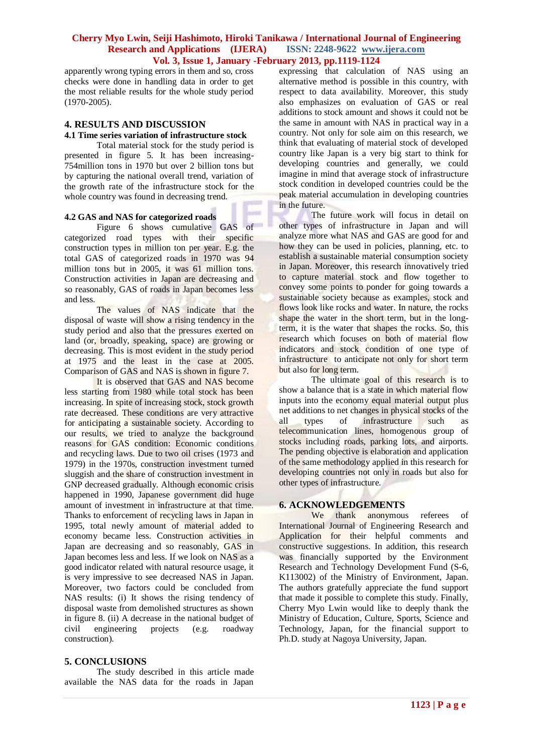apparently wrong typing errors in them and so, cross checks were done in handling data in order to get the most reliable results for the whole study period (1970-2005).

## **4. RESULTS AND DISCUSSION**

#### **4.1 Time series variation of infrastructure stock**

Total material stock for the study period is presented in figure 5. It has been increasing-754million tons in 1970 but over 2 billion tons but by capturing the national overall trend, variation of the growth rate of the infrastructure stock for the whole country was found in decreasing trend.

#### **4.2 GAS and NAS for categorized roads**

Figure 6 shows cumulative GAS of categorized road types with their specific construction types in million ton per year. E.g. the total GAS of categorized roads in 1970 was 94 million tons but in 2005, it was 61 million tons. Construction activities in Japan are decreasing and so reasonably, GAS of roads in Japan becomes less and less.

The values of NAS indicate that the disposal of waste will show a rising tendency in the study period and also that the pressures exerted on land (or, broadly, speaking, space) are growing or decreasing. This is most evident in the study period at 1975 and the least in the case at 2005. Comparison of GAS and NAS is shown in figure 7.

It is observed that GAS and NAS become less starting from 1980 while total stock has been increasing. In spite of increasing stock, stock growth rate decreased. These conditions are very attractive for anticipating a sustainable society. According to our results, we tried to analyze the background reasons for GAS condition: Economic conditions and recycling laws. Due to two oil crises (1973 and 1979) in the 1970s, construction investment turned sluggish and the share of construction investment in GNP decreased gradually. Although economic crisis happened in 1990, Japanese government did huge amount of investment in infrastructure at that time. Thanks to enforcement of recycling laws in Japan in 1995, total newly amount of material added to economy became less. Construction activities in Japan are decreasing and so reasonably, GAS in Japan becomes less and less. If we look on NAS as a good indicator related with natural resource usage, it is very impressive to see decreased NAS in Japan. Moreover, two factors could be concluded from NAS results: (i) It shows the rising tendency of disposal waste from demolished structures as shown in figure 8. (ii) A decrease in the national budget of civil engineering projects (e.g. roadway construction).

## **5. CONCLUSIONS**

The study described in this article made available the NAS data for the roads in Japan expressing that calculation of NAS using an alternative method is possible in this country, with respect to data availability. Moreover, this study also emphasizes on evaluation of GAS or real additions to stock amount and shows it could not be the same in amount with NAS in practical way in a country. Not only for sole aim on this research, we think that evaluating of material stock of developed country like Japan is a very big start to think for developing countries and generally, we could imagine in mind that average stock of infrastructure stock condition in developed countries could be the peak material accumulation in developing countries in the future.

The future work will focus in detail on other types of infrastructure in Japan and will analyze more what NAS and GAS are good for and how they can be used in policies, planning, etc. to establish a sustainable material consumption society in Japan. Moreover, this research innovatively tried to capture material stock and flow together to convey some points to ponder for going towards a sustainable society because as examples, stock and flows look like rocks and water. In nature, the rocks shape the water in the short term, but in the longterm, it is the water that shapes the rocks. So, this research which focuses on both of material flow indicators and stock condition of one type of infrastructure to anticipate not only for short term but also for long term.

The ultimate goal of this research is to show a balance that is a state in which material flow inputs into the economy equal material output plus net additions to net changes in physical stocks of the all types of infrastructure such as telecommunication lines, homogenous group of stocks including roads, parking lots, and airports. The pending objective is elaboration and application of the same methodology applied in this research for developing countries not only in roads but also for other types of infrastructure.

#### **6. ACKNOWLEDGEMENTS**

We thank anonymous referees of International Journal of Engineering Research and Application for their helpful comments and constructive suggestions. In addition, this research was financially supported by the Environment Research and Technology Development Fund (S-6, K113002) of the Ministry of Environment, Japan. The authors gratefully appreciate the fund support that made it possible to complete this study. Finally, Cherry Myo Lwin would like to deeply thank the Ministry of Education, Culture, Sports, Science and Technology, Japan, for the financial support to Ph.D. study at Nagoya University, Japan.